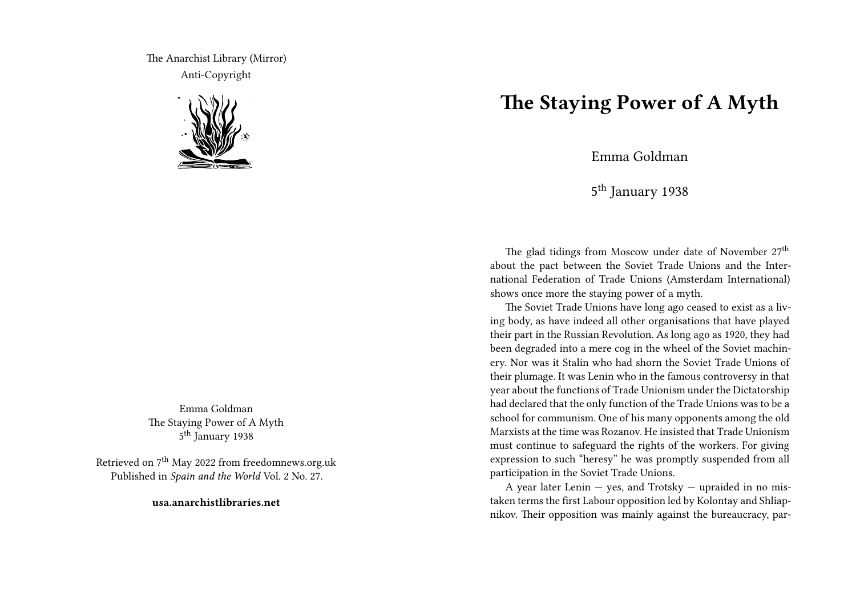The Anarchist Library (Mirror) Anti-Copyright



Emma Goldman The Staying Power of A Myth 5<sup>th</sup> January 1938

Retrieved on 7<sup>th</sup> May 2022 from freedomnews.org.uk Published in *Spain and the World* Vol. 2 No. 27.

**usa.anarchistlibraries.net**

## **The Staying Power of A Myth**

Emma Goldman

5<sup>th</sup> January 1938

The glad tidings from Moscow under date of November 27<sup>th</sup> about the pact between the Soviet Trade Unions and the International Federation of Trade Unions (Amsterdam International) shows once more the staying power of a myth.

The Soviet Trade Unions have long ago ceased to exist as a living body, as have indeed all other organisations that have played their part in the Russian Revolution. As long ago as 1920, they had been degraded into a mere cog in the wheel of the Soviet machinery. Nor was it Stalin who had shorn the Soviet Trade Unions of their plumage. It was Lenin who in the famous controversy in that year about the functions of Trade Unionism under the Dictatorship had declared that the only function of the Trade Unions was to be a school for communism. One of his many opponents among the old Marxists at the time was Rozanov. He insisted that Trade Unionism must continue to safeguard the rights of the workers. For giving expression to such "heresy" he was promptly suspended from all participation in the Soviet Trade Unions.

A year later Lenin  $-$  yes, and Trotsky  $-$  upraided in no mistaken terms the first Labour opposition led by Kolontay and Shliapnikov. Their opposition was mainly against the bureaucracy, par